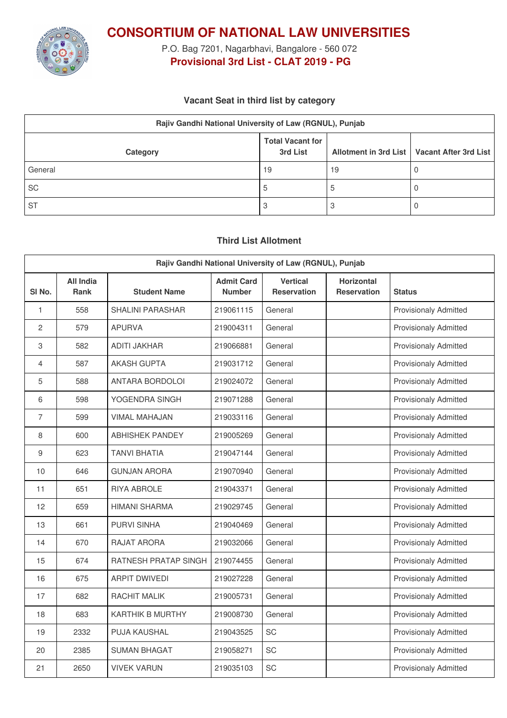

**CONSORTIUM OF NATIONAL LAW UNIVERSITIES**

P.O. Bag 7201, Nagarbhavi, Bangalore - 560 072 **Provisional 3rd List - CLAT 2019 - PG**

### **Vacant Seat in third list by category**

| Rajiv Gandhi National University of Law (RGNUL), Punjab |                                     |    |                                               |  |
|---------------------------------------------------------|-------------------------------------|----|-----------------------------------------------|--|
| Category                                                | <b>Total Vacant for</b><br>3rd List |    | Allotment in 3rd List   Vacant After 3rd List |  |
| General                                                 | 19                                  | 19 |                                               |  |
| SC                                                      | C                                   |    |                                               |  |
| <b>ST</b>                                               |                                     |    |                                               |  |

## **Third List Allotment**

| Rajiv Gandhi National University of Law (RGNUL), Punjab |                          |                         |                                    |                                       |                                         |                              |
|---------------------------------------------------------|--------------------------|-------------------------|------------------------------------|---------------------------------------|-----------------------------------------|------------------------------|
| SI <sub>No.</sub>                                       | All India<br><b>Rank</b> | <b>Student Name</b>     | <b>Admit Card</b><br><b>Number</b> | <b>Vertical</b><br><b>Reservation</b> | <b>Horizontal</b><br><b>Reservation</b> | <b>Status</b>                |
| 1                                                       | 558                      | <b>SHALINI PARASHAR</b> | 219061115                          | General                               |                                         | <b>Provisionaly Admitted</b> |
| $\overline{c}$                                          | 579                      | <b>APURVA</b>           | 219004311                          | General                               |                                         | <b>Provisionaly Admitted</b> |
| 3                                                       | 582                      | ADITI JAKHAR            | 219066881                          | General                               |                                         | Provisionaly Admitted        |
| 4                                                       | 587                      | <b>AKASH GUPTA</b>      | 219031712                          | General                               |                                         | <b>Provisionaly Admitted</b> |
| 5                                                       | 588                      | <b>ANTARA BORDOLOI</b>  | 219024072                          | General                               |                                         | <b>Provisionaly Admitted</b> |
| 6                                                       | 598                      | YOGENDRA SINGH          | 219071288                          | General                               |                                         | <b>Provisionaly Admitted</b> |
| $\overline{7}$                                          | 599                      | <b>VIMAL MAHAJAN</b>    | 219033116                          | General                               |                                         | <b>Provisionaly Admitted</b> |
| 8                                                       | 600                      | <b>ABHISHEK PANDEY</b>  | 219005269                          | General                               |                                         | <b>Provisionaly Admitted</b> |
| 9                                                       | 623                      | <b>TANVI BHATIA</b>     | 219047144                          | General                               |                                         | <b>Provisionaly Admitted</b> |
| 10                                                      | 646                      | <b>GUNJAN ARORA</b>     | 219070940                          | General                               |                                         | <b>Provisionaly Admitted</b> |
| 11                                                      | 651                      | <b>RIYA ABROLE</b>      | 219043371                          | General                               |                                         | <b>Provisionaly Admitted</b> |
| 12                                                      | 659                      | <b>HIMANI SHARMA</b>    | 219029745                          | General                               |                                         | <b>Provisionaly Admitted</b> |
| 13                                                      | 661                      | <b>PURVI SINHA</b>      | 219040469                          | General                               |                                         | <b>Provisionaly Admitted</b> |
| 14                                                      | 670                      | RAJAT ARORA             | 219032066                          | General                               |                                         | <b>Provisionaly Admitted</b> |
| 15                                                      | 674                      | RATNESH PRATAP SINGH    | 219074455                          | General                               |                                         | <b>Provisionaly Admitted</b> |
| 16                                                      | 675                      | <b>ARPIT DWIVEDI</b>    | 219027228                          | General                               |                                         | <b>Provisionaly Admitted</b> |
| 17                                                      | 682                      | <b>RACHIT MALIK</b>     | 219005731                          | General                               |                                         | <b>Provisionaly Admitted</b> |
| 18                                                      | 683                      | <b>KARTHIK B MURTHY</b> | 219008730                          | General                               |                                         | <b>Provisionaly Admitted</b> |
| 19                                                      | 2332                     | PUJA KAUSHAL            | 219043525                          | SC                                    |                                         | <b>Provisionaly Admitted</b> |
| 20                                                      | 2385                     | <b>SUMAN BHAGAT</b>     | 219058271                          | SC                                    |                                         | <b>Provisionaly Admitted</b> |
| 21                                                      | 2650                     | <b>VIVEK VARUN</b>      | 219035103                          | SC                                    |                                         | <b>Provisionaly Admitted</b> |